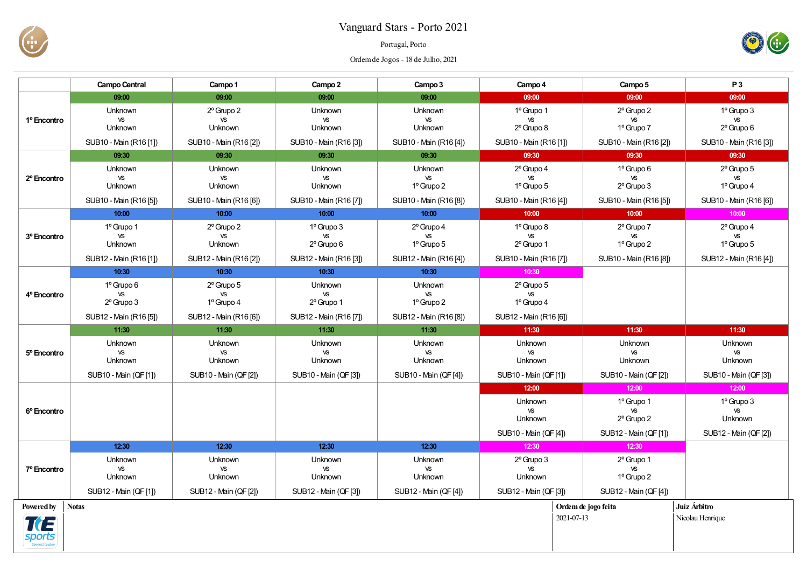

## Vanguard Stars - Porto 2021

## Portugal, Porto

Ordemde Jogos - 18 de Julho, 2021



|                         | <b>Campo Central</b>                                                     | Campo 1                                                         | Campo 2                                                                  | Campo 3                                                                  | Campo 4                                                         | Campo 5                                                                 | P <sub>3</sub>                                                  |
|-------------------------|--------------------------------------------------------------------------|-----------------------------------------------------------------|--------------------------------------------------------------------------|--------------------------------------------------------------------------|-----------------------------------------------------------------|-------------------------------------------------------------------------|-----------------------------------------------------------------|
|                         | 09:00                                                                    | 09:00                                                           | 09:00                                                                    | 09:00                                                                    | 09:00                                                           | 09:00                                                                   | 09:00                                                           |
| 1º Encontro             | <b>Unknown</b><br>VS<br>Unknown                                          | $2^{\circ}$ Grupo 2<br><b>VS</b><br>Unknown                     | Unknown<br>VS<br>Unknown                                                 | <b>Unknown</b><br><b>VS</b><br>Unknown                                   | 1º Grupo 1<br><b>VS</b><br>2º Grupo 8                           | 2° Grupo 2<br><b>VS</b><br>1º Grupo 7                                   | 1º Grupo 3<br><b>VS</b><br>$2^{\circ}$ Grupo 6                  |
|                         | SUB10 - Main (R16 [1])                                                   | SUB10 - Main (R16 [2])                                          | SUB10 - Main (R16 [3])                                                   | SUB10 - Main (R16 [4])                                                   | SUB10 - Main (R16 [1])                                          | SUB10 - Main (R16 [2])                                                  | SUB10 - Main (R16 [3])                                          |
| 2º Encontro             | 09:30                                                                    | 09:30                                                           | 09:30                                                                    | 09:30                                                                    | 09:30                                                           | 09:30                                                                   | 09:30                                                           |
|                         | <b>Unknown</b><br><b>VS</b><br><b>Unknown</b>                            | Unknown<br><b>VS</b><br>Unknown                                 | <b>Unknown</b><br><b>VS</b><br><b>Unknown</b>                            | <b>Unknown</b><br><b>VS</b><br>1º Grupo 2                                | 2º Grupo 4<br><b>VS</b><br>1º Grupo 5                           | 1º Grupo 6<br><b>VS</b><br>$2^{\circ}$ Grupo 3                          | $2^{\circ}$ Grupo $5$<br><b>VS</b><br>1º Grupo 4                |
|                         | SUB10 - Main (R16 [5])                                                   | SUB10 - Main (R16 [6])                                          | SUB10 - Main (R16 [7])                                                   | SUB10 - Main (R16 [8])                                                   | SUB10 - Main (R16 [4])                                          | SUB10 - Main (R16 [5])                                                  | SUB10 - Main (R16 [6])                                          |
|                         | 10:00                                                                    | 10:00                                                           | 10:00                                                                    | 10:00                                                                    | 10:00                                                           | 10:00                                                                   | 10:00                                                           |
| 3º Encontro             | 1º Grupo 1<br><b>VS</b><br><b>Unknown</b><br>SUB12 - Main (R16 [1])      | 2º Grupo 2<br><b>VS</b><br>Unknown<br>SUB12 - Main (R16 [2])    | 1º Grupo 3<br><b>VS</b><br>$2^{\circ}$ Grupo 6<br>SUB12 - Main (R16 [3]) | 2º Grupo 4<br><b>VS</b><br>$1^{\circ}$ Grupo 5<br>SUB12 - Main (R16 [4]) | 1º Grupo 8<br><b>VS</b><br>2º Grupo 1<br>SUB10 - Main (R16 [7]) | 2º Grupo 7<br><b>VS</b><br>1º Grupo 2<br>SUB10 - Main (R16 [8])         | 2º Grupo 4<br><b>VS</b><br>1º Grupo 5<br>SUB12 - Main (R16 [4]) |
|                         | 10:30                                                                    | 10:30                                                           | 10:30                                                                    | 10:30                                                                    | 10:30                                                           |                                                                         |                                                                 |
| 4º Encontro             | 1º Grupo 6<br><b>VS</b><br>$2^{\circ}$ Grupo 3<br>SUB12 - Main (R16 [5]) | 2º Grupo 5<br><b>VS</b><br>1º Grupo 4<br>SUB12 - Main (R16 [6]) | <b>Unknown</b><br><b>VS</b><br>2º Grupo 1<br>SUB12 - Main (R16 [7])      | Unknown<br><b>VS</b><br>1º Grupo 2<br>SUB12 - Main (R16 [8])             | 2º Grupo 5<br><b>VS</b><br>1º Grupo 4<br>SUB12 - Main (R16 [6]) |                                                                         |                                                                 |
|                         | 11:30                                                                    | 11:30                                                           | 11:30                                                                    | 11:30                                                                    | 11:30                                                           | 11:30                                                                   | 11:30                                                           |
| 5 <sup>°</sup> Encontro | Unknown<br><b>VS</b><br>Unknown                                          | Unknown<br><b>VS</b><br>Unknown                                 | <b>Unknown</b><br><b>VS</b><br>Unknown                                   | <b>Unknown</b><br>VS<br><b>Unknown</b>                                   | Unknown<br>VS<br>Unknown                                        | Unknown<br><b>VS</b><br><b>Unknown</b>                                  | <b>Unknown</b><br>VS<br>Unknown                                 |
|                         | SUB10 - Main (QF [1])                                                    | SUB10 - Main (QF [2])                                           | SUB10 - Main (QF [3])                                                    | SUB10 - Main (QF [4])                                                    | SUB10 - Main (QF[1])                                            | SUB10 - Main (QF [2])                                                   | SUB10 - Main (QF [3])                                           |
| 6° Encontro             |                                                                          |                                                                 |                                                                          |                                                                          | 12:00<br>Unknown<br>VS<br>Unknown                               | 12:00<br>1º Grupo 1<br><b>VS</b><br>2º Grupo 2                          | 12:00<br>1º Grupo 3<br>VS<br><b>Unknown</b>                     |
|                         |                                                                          |                                                                 | 12:30                                                                    |                                                                          | SUB10 - Main (QF [4])                                           | SUB12 - Main (QF [1])                                                   | SUB12 - Main (QF [2])                                           |
| 7º Encontro             | 12:30<br>Unknown<br>VS<br>Unknown<br>SUB12 - Main (QF [1])               | 12:30<br>Unknown<br>VS<br>Unknown<br>SUB12 - Main (QF [2])      | Unknown<br>VS<br>Unknown<br>SUB12 - Main (QF [3])                        | 12:30<br><b>Unknown</b><br>VS<br>Unknown<br>SUB12 - Main (QF [4])        | 12:30<br>2º Grupo 3<br>VS<br>Unknown<br>SUB12 - Main (QF [3])   | 12:30<br>2º Grupo 1<br><b>VS</b><br>1º Grupo 2<br>SUB12 - Main (QF [4]) |                                                                 |
| Powered by              | <b>Notas</b>                                                             |                                                                 |                                                                          |                                                                          | Ordem de jogo feita                                             | Juíz Árbitro                                                            |                                                                 |
| TŒ<br><i>sports</i>     |                                                                          |                                                                 |                                                                          |                                                                          | 2021-07-13                                                      |                                                                         | Nicolau Henrique                                                |